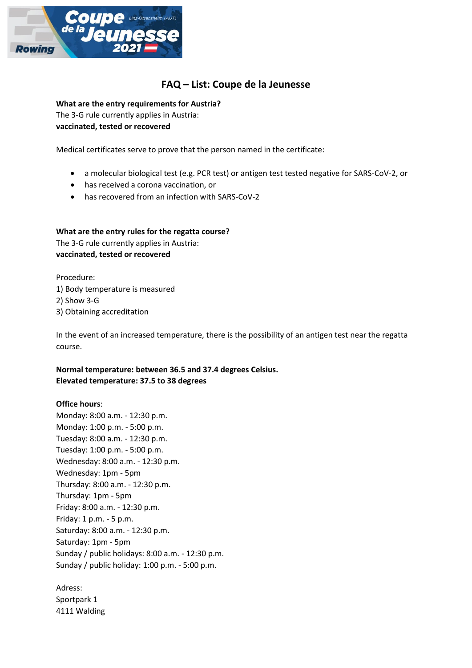

# **FAQ – List: Coupe de la Jeunesse**

**What are the entry requirements for Austria?**

The 3-G rule currently applies in Austria: **vaccinated, tested or recovered**

Medical certificates serve to prove that the person named in the certificate:

- a molecular biological test (e.g. PCR test) or antigen test tested negative for SARS-CoV-2, or
- has received a corona vaccination, or
- has recovered from an infection with SARS-CoV-2

**What are the entry rules for the regatta course?** The 3-G rule currently applies in Austria:

**vaccinated, tested or recovered**

Procedure:

1) Body temperature is measured

2) Show 3-G

3) Obtaining accreditation

In the event of an increased temperature, there is the possibility of an antigen test near the regatta course.

## **Normal temperature: between 36.5 and 37.4 degrees Celsius. Elevated temperature: 37.5 to 38 degrees**

## **Office hours**:

Monday: 8:00 a.m. - 12:30 p.m. Monday: 1:00 p.m. - 5:00 p.m. Tuesday: 8:00 a.m. - 12:30 p.m. Tuesday: 1:00 p.m. - 5:00 p.m. Wednesday: 8:00 a.m. - 12:30 p.m. Wednesday: 1pm - 5pm Thursday: 8:00 a.m. - 12:30 p.m. Thursday: 1pm - 5pm Friday: 8:00 a.m. - 12:30 p.m. Friday: 1 p.m. - 5 p.m. Saturday: 8:00 a.m. - 12:30 p.m. Saturday: 1pm - 5pm Sunday / public holidays: 8:00 a.m. - 12:30 p.m. Sunday / public holiday: 1:00 p.m. - 5:00 p.m.

Adress: Sportpark 1 4111 Walding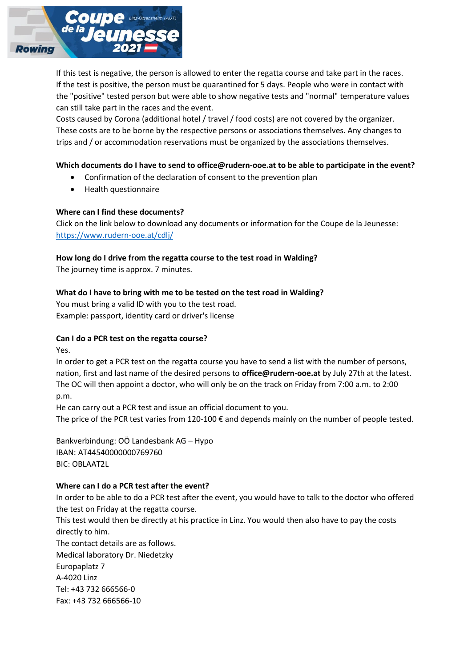

If this test is negative, the person is allowed to enter the regatta course and take part in the races. If the test is positive, the person must be quarantined for 5 days. People who were in contact with the "positive" tested person but were able to show negative tests and "normal" temperature values can still take part in the races and the event.

Costs caused by Corona (additional hotel / travel / food costs) are not covered by the organizer. These costs are to be borne by the respective persons or associations themselves. Any changes to trips and / or accommodation reservations must be organized by the associations themselves.

## **Which documents do I have to send to office@rudern-ooe.at to be able to participate in the event?**

- Confirmation of the declaration of consent to the prevention plan
- Health questionnaire

#### **Where can I find these documents?**

Click on the link below to download any documents or information for the Coupe de la Jeunesse: <https://www.rudern-ooe.at/cdlj/>

## **How long do I drive from the regatta course to the test road in Walding?**

The journey time is approx. 7 minutes.

## **What do I have to bring with me to be tested on the test road in Walding?**

You must bring a valid ID with you to the test road. Example: passport, identity card or driver's license

#### **Can I do a PCR test on the regatta course?**

Yes.

In order to get a PCR test on the regatta course you have to send a list with the number of persons, nation, first and last name of the desired persons to **office@rudern-ooe.at** by July 27th at the latest. The OC will then appoint a doctor, who will only be on the track on Friday from 7:00 a.m. to 2:00 p.m.

He can carry out a PCR test and issue an official document to you. The price of the PCR test varies from 120-100 € and depends mainly on the number of people tested.

Bankverbindung: OÖ Landesbank AG – Hypo IBAN: AT44540000000769760 BIC: OBLAAT2L

#### **Where can I do a PCR test after the event?**

In order to be able to do a PCR test after the event, you would have to talk to the doctor who offered the test on Friday at the regatta course.

This test would then be directly at his practice in Linz. You would then also have to pay the costs directly to him.

The contact details are as follows. Medical laboratory Dr. Niedetzky Europaplatz 7 A-4020 Linz Tel: +43 732 666566-0 Fax: +43 732 666566-10